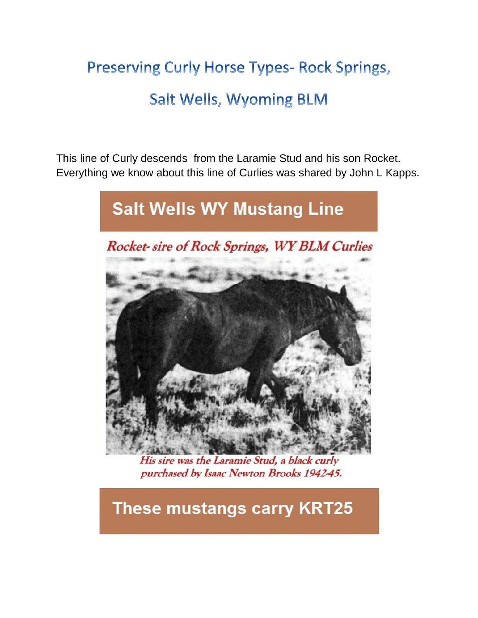# **Preserving Curly Horse Types- Rock Springs, Salt Wells, Wyoming BLM**

This line of Curly descends from the Laramie Stud and his son Rocket. Everything we know about this line of Curlies was shared by John L Kapps.



His sire was the Laramie Stud, a black curly purchased by Isaac Newton Brooks 1942-45.

# **These mustangs carry KRT25**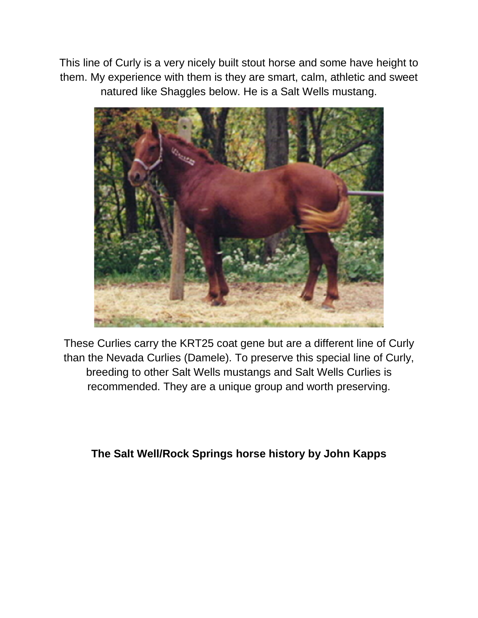This line of Curly is a very nicely built stout horse and some have height to them. My experience with them is they are smart, calm, athletic and sweet natured like Shaggles below. He is a Salt Wells mustang.



These Curlies carry the KRT25 coat gene but are a different line of Curly than the Nevada Curlies (Damele). To preserve this special line of Curly, breeding to other Salt Wells mustangs and Salt Wells Curlies is recommended. They are a unique group and worth preserving.

# **The Salt Well/Rock Springs horse history by John Kapps**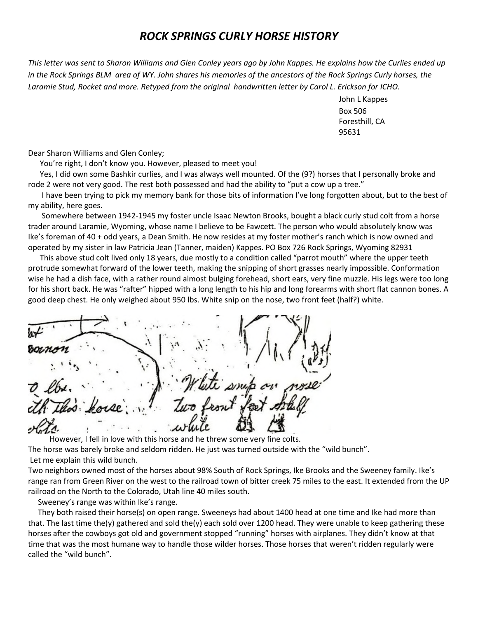## *ROCK SPRINGS CURLY HORSE HISTORY*

*This letter was sent to Sharon Williams and Glen Conley years ago by John Kappes. He explains how the Curlies ended up in the Rock Springs BLM area of WY. John shares his memories of the ancestors of the Rock Springs Curly horses, the Laramie Stud, Rocket and more. Retyped from the original handwritten letter by Carol L. Erickson for ICHO.*

> John L Kappes Box 506 Foresthill, CA 95631

Dear Sharon Williams and Glen Conley;

You're right, I don't know you. However, pleased to meet you!

Yes, I did own some Bashkir curlies, and I was always well mounted. Of the (9?) horses that I personally broke and rode 2 were not very good. The rest both possessed and had the ability to "put a cow up a tree."

I have been trying to pick my memory bank for those bits of information I've long forgotten about, but to the best of my ability, here goes.

Somewhere between 1942-1945 my foster uncle Isaac Newton Brooks, bought a black curly stud colt from a horse trader around Laramie, Wyoming, whose name I believe to be Fawcett. The person who would absolutely know was Ike's foreman of 40 + odd years, a Dean Smith. He now resides at my foster mother's ranch which is now owned and operated by my sister in law Patricia Jean (Tanner, maiden) Kappes. PO Box 726 Rock Springs, Wyoming 82931

This above stud colt lived only 18 years, due mostly to a condition called "parrot mouth" where the upper teeth protrude somewhat forward of the lower teeth, making the snipping of short grasses nearly impossible. Conformation wise he had a dish face, with a rather round almost bulging forehead, short ears, very fine muzzle. His legs were too long for his short back. He was "rafter" hipped with a long length to his hip and long forearms with short flat cannon bones. A good deep chest. He only weighed about 950 lbs. White snip on the nose, two front feet (half?) white.

However, I fell in love with this horse and he threw some very fine colts. The horse was barely broke and seldom ridden. He just was turned outside with the "wild bunch". Let me explain this wild bunch.

Two neighbors owned most of the horses about 98% South of Rock Springs, Ike Brooks and the Sweeney family. Ike's range ran from Green River on the west to the railroad town of bitter creek 75 miles to the east. It extended from the UP railroad on the North to the Colorado, Utah line 40 miles south.

Sweeney's range was within Ike's range.

They both raised their horse(s) on open range. Sweeneys had about 1400 head at one time and Ike had more than that. The last time the(y) gathered and sold the(y) each sold over 1200 head. They were unable to keep gathering these horses after the cowboys got old and government stopped "running" horses with airplanes. They didn't know at that time that was the most humane way to handle those wilder horses. Those horses that weren't ridden regularly were called the "wild bunch".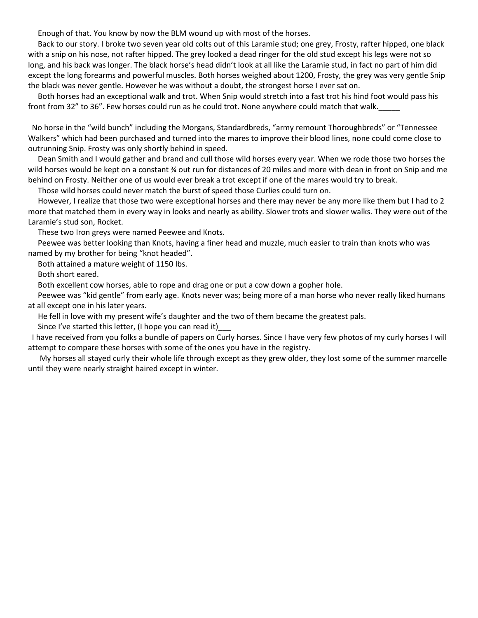Enough of that. You know by now the BLM wound up with most of the horses.

Back to our story. I broke two seven year old colts out of this Laramie stud; one grey, Frosty, rafter hipped, one black with a snip on his nose, not rafter hipped. The grey looked a dead ringer for the old stud except his legs were not so long, and his back was longer. The black horse's head didn't look at all like the Laramie stud, in fact no part of him did except the long forearms and powerful muscles. Both horses weighed about 1200, Frosty, the grey was very gentle Snip the black was never gentle. However he was without a doubt, the strongest horse I ever sat on.

Both horses had an exceptional walk and trot. When Snip would stretch into a fast trot his hind foot would pass his front from 32" to 36". Few horses could run as he could trot. None anywhere could match that walk.

No horse in the "wild bunch" including the Morgans, Standardbreds, "army remount Thoroughbreds" or "Tennessee Walkers" which had been purchased and turned into the mares to improve their blood lines, none could come close to outrunning Snip. Frosty was only shortly behind in speed.

Dean Smith and I would gather and brand and cull those wild horses every year. When we rode those two horses the wild horses would be kept on a constant ¾ out run for distances of 20 miles and more with dean in front on Snip and me behind on Frosty. Neither one of us would ever break a trot except if one of the mares would try to break.

Those wild horses could never match the burst of speed those Curlies could turn on.

However, I realize that those two were exceptional horses and there may never be any more like them but I had to 2 more that matched them in every way in looks and nearly as ability. Slower trots and slower walks. They were out of the Laramie's stud son, Rocket.

These two Iron greys were named Peewee and Knots.

Peewee was better looking than Knots, having a finer head and muzzle, much easier to train than knots who was named by my brother for being "knot headed".

Both attained a mature weight of 1150 lbs.

Both short eared.

Both excellent cow horses, able to rope and drag one or put a cow down a gopher hole.

Peewee was "kid gentle" from early age. Knots never was; being more of a man horse who never really liked humans at all except one in his later years.

He fell in love with my present wife's daughter and the two of them became the greatest pals.

Since I've started this letter, (I hope you can read it)\_\_\_

I have received from you folks a bundle of papers on Curly horses. Since I have very few photos of my curly horses I will attempt to compare these horses with some of the ones you have in the registry.

My horses all stayed curly their whole life through except as they grew older, they lost some of the summer marcelle until they were nearly straight haired except in winter.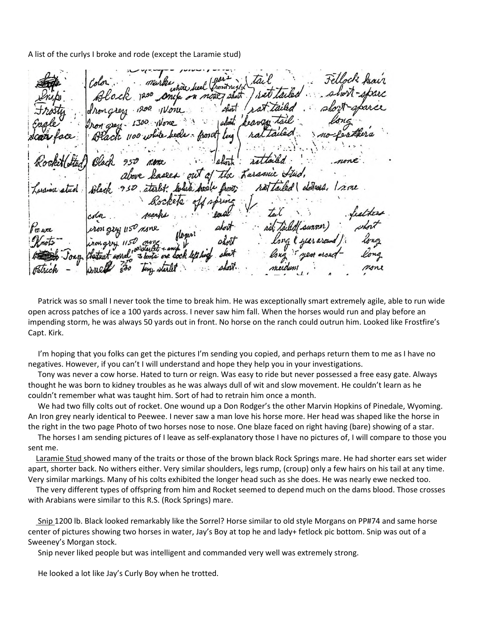A list of the curlys I broke and rode (except the Laramie stud)

ervan ulait Larssnie ees out a sintant. Irae

Patrick was so small I never took the time to break him. He was exceptionally smart extremely agile, able to run wide open across patches of ice a 100 yards across. I never saw him fall. When the horses would run and play before an impending storm, he was always 50 yards out in front. No horse on the ranch could outrun him. Looked like Frostfire's Capt. Kirk.

I'm hoping that you folks can get the pictures I'm sending you copied, and perhaps return them to me as I have no negatives. However, if you can't I will understand and hope they help you in your investigations.

Tony was never a cow horse. Hated to turn or reign. Was easy to ride but never possessed a free easy gate. Always thought he was born to kidney troubles as he was always dull of wit and slow movement. He couldn't learn as he couldn't remember what was taught him. Sort of had to retrain him once a month.

We had two filly colts out of rocket. One wound up a Don Rodger's the other Marvin Hopkins of Pinedale, Wyoming. An Iron grey nearly identical to Peewee. I never saw a man love his horse more. Her head was shaped like the horse in the right in the two page Photo of two horses nose to nose. One blaze faced on right having (bare) showing of a star.

The horses I am sending pictures of I leave as self-explanatory those I have no pictures of, I will compare to those you sent me.

Laramie Stud showed many of the traits or those of the brown black Rock Springs mare. He had shorter ears set wider apart, shorter back. No withers either. Very similar shoulders, legs rump, (croup) only a few hairs on his tail at any time. Very similar markings. Many of his colts exhibited the longer head such as she does. He was nearly ewe necked too.

The very different types of offspring from him and Rocket seemed to depend much on the dams blood. Those crosses with Arabians were similar to this R.S. (Rock Springs) mare.

Snip 1200 lb. Black looked remarkably like the Sorrel? Horse similar to old style Morgans on PP#74 and same horse center of pictures showing two horses in water, Jay's Boy at top he and lady+ fetlock pic bottom. Snip was out of a Sweeney's Morgan stock.

Snip never liked people but was intelligent and commanded very well was extremely strong.

He looked a lot like Jay's Curly Boy when he trotted.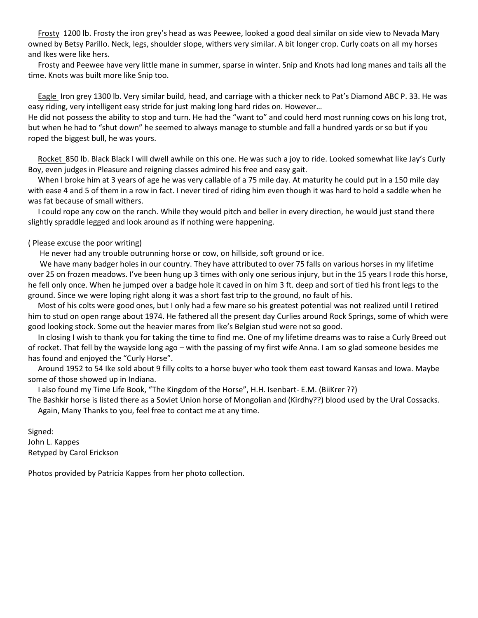Frosty 1200 lb. Frosty the iron grey's head as was Peewee, looked a good deal similar on side view to Nevada Mary owned by Betsy Parillo. Neck, legs, shoulder slope, withers very similar. A bit longer crop. Curly coats on all my horses and Ikes were like hers.

Frosty and Peewee have very little mane in summer, sparse in winter. Snip and Knots had long manes and tails all the time. Knots was built more like Snip too.

Eagle Iron grey 1300 lb. Very similar build, head, and carriage with a thicker neck to Pat's Diamond ABC P. 33. He was easy riding, very intelligent easy stride for just making long hard rides on. However…

He did not possess the ability to stop and turn. He had the "want to" and could herd most running cows on his long trot, but when he had to "shut down" he seemed to always manage to stumble and fall a hundred yards or so but if you roped the biggest bull, he was yours.

Rocket 850 lb. Black Black I will dwell awhile on this one. He was such a joy to ride. Looked somewhat like Jay's Curly Boy, even judges in Pleasure and reigning classes admired his free and easy gait.

When I broke him at 3 years of age he was very callable of a 75 mile day. At maturity he could put in a 150 mile day with ease 4 and 5 of them in a row in fact. I never tired of riding him even though it was hard to hold a saddle when he was fat because of small withers.

I could rope any cow on the ranch. While they would pitch and beller in every direction, he would just stand there slightly spraddle legged and look around as if nothing were happening.

#### ( Please excuse the poor writing)

He never had any trouble outrunning horse or cow, on hillside, soft ground or ice.

We have many badger holes in our country. They have attributed to over 75 falls on various horses in my lifetime over 25 on frozen meadows. I've been hung up 3 times with only one serious injury, but in the 15 years I rode this horse, he fell only once. When he jumped over a badge hole it caved in on him 3 ft. deep and sort of tied his front legs to the ground. Since we were loping right along it was a short fast trip to the ground, no fault of his.

Most of his colts were good ones, but I only had a few mare so his greatest potential was not realized until I retired him to stud on open range about 1974. He fathered all the present day Curlies around Rock Springs, some of which were good looking stock. Some out the heavier mares from Ike's Belgian stud were not so good.

In closing I wish to thank you for taking the time to find me. One of my lifetime dreams was to raise a Curly Breed out of rocket. That fell by the wayside long ago – with the passing of my first wife Anna. I am so glad someone besides me has found and enjoyed the "Curly Horse".

Around 1952 to 54 Ike sold about 9 filly colts to a horse buyer who took them east toward Kansas and Iowa. Maybe some of those showed up in Indiana.

I also found my Time Life Book, "The Kingdom of the Horse", H.H. Isenbart- E.M. (BiiKrer ??)

The Bashkir horse is listed there as a Soviet Union horse of Mongolian and (Kirdhy??) blood used by the Ural Cossacks. Again, Many Thanks to you, feel free to contact me at any time.

Signed: John L. Kappes Retyped by Carol Erickson

Photos provided by Patricia Kappes from her photo collection.